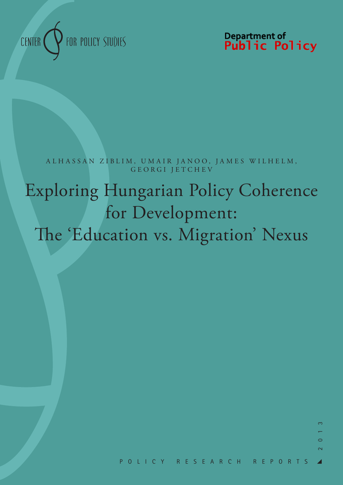

Department of<br>**Public Policy** 

A L H A S S A N Z I B L I M, U M A I R J A N O O, J A M E S W I L H E L M, GEORGI JETCHEV

# Exploring Hungarian Policy Coherence for Development: The 'Education vs. Migration' Nexus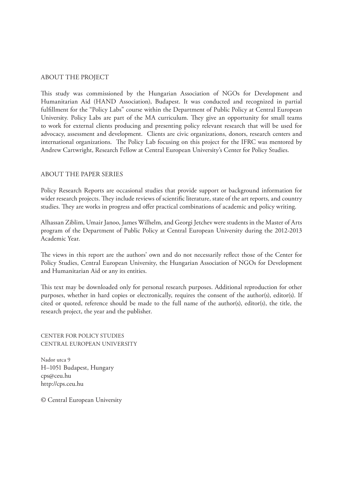#### ABOUT THE PROJECT

This study was commissioned by the Hungarian Association of NGOs for Development and Humanitarian Aid (HAND Association), Budapest. It was conducted and recognized in partial fulfillment for the "Policy Labs" course within the Department of Public Policy at Central European University. Policy Labs are part of the MA curriculum. They give an opportunity for small teams to work for external clients producing and presenting policy relevant research that will be used for advocacy, assessment and development. Clients are civic organizations, donors, research centers and international organizations. The Policy Lab focusing on this project for the IFRC was mentored by Andrew Cartwright, Research Fellow at Central European University's Center for Policy Studies.

#### ABOUT THE PAPER SERIES

Policy Research Reports are occasional studies that provide support or background information for wider research projects. They include reviews of scientific literature, state of the art reports, and country studies. They are works in progress and offer practical combinations of academic and policy writing.

Alhassan Ziblim, Umair Janoo, James Wilhelm, and Georgi Jetchev were students in the Master of Arts program of the Department of Public Policy at Central European University during the 2012-2013 Academic Year.

The views in this report are the authors' own and do not necessarily reflect those of the Center for Policy Studies, Central European University, the Hungarian Association of NGOs for Development and Humanitarian Aid or any its entities.

This text may be downloaded only for personal research purposes. Additional reproduction for other purposes, whether in hard copies or electronically, requires the consent of the author(s), editor(s). If cited or quoted, reference should be made to the full name of the author(s), editor(s), the title, the research project, the year and the publisher.

CENTER FOR POLICY STUDIES CENTRAL EUROPEAN UNIVERSITY

Nador utca 9 H–1051 Budapest, Hungary cps@ceu.hu http://cps.ceu.hu

© Central European University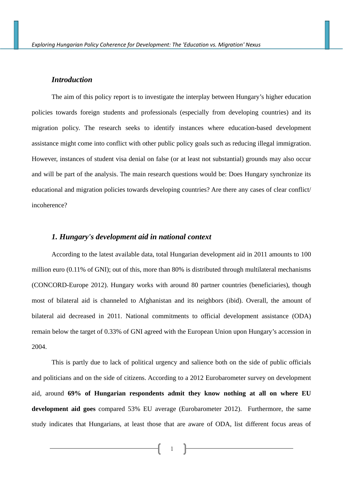# *Introduction*

The aim of this policy report is to investigate the interplay between Hungary's higher education policies towards foreign students and professionals (especially from developing countries) and its migration policy. The research seeks to identify instances where education-based development assistance might come into conflict with other public policy goals such as reducing illegal immigration. However, instances of student visa denial on false (or at least not substantial) grounds may also occur and will be part of the analysis. The main research questions would be: Does Hungary synchronize its educational and migration policies towards developing countries? Are there any cases of clear conflict/ incoherence?

# *1. Hungary's development aid in national context*

According to the latest available data, total Hungarian development aid in 2011 amounts to 100 million euro (0.11% of GNI); out of this, more than 80% is distributed through multilateral mechanisms (CONCORD-Europe 2012). Hungary works with around 80 partner countries (beneficiaries), though most of bilateral aid is channeled to Afghanistan and its neighbors (ibid). Overall, the amount of bilateral aid decreased in 2011. National commitments to official development assistance (ODA) remain below the target of 0.33% of GNI agreed with the European Union upon Hungary's accession in 2004.

This is partly due to lack of political urgency and salience both on the side of public officials and politicians and on the side of citizens. According to a 2012 Eurobarometer survey on development aid, around **69% of Hungarian respondents admit they know nothing at all on where EU development aid goes** compared 53% EU average (Eurobarometer 2012). Furthermore, the same study indicates that Hungarians, at least those that are aware of ODA, list different focus areas of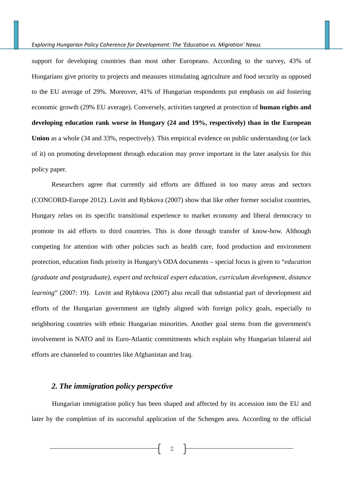support for developing countries than most other Europeans. According to the survey, 43% of Hungarians give priority to projects and measures stimulating agriculture and food security as opposed to the EU average of 29%. Moreover, 41% of Hungarian respondents put emphasis on aid fostering economic growth (29% EU average). Conversely, activities targeted at protection of **human rights and developing education rank worse in Hungary (24 and 19%, respectively) than in the European Union** as a whole (34 and 33%, respectively). This empirical evidence on public understanding (or lack of it) on promoting development through education may prove important in the later analysis for this policy paper.

Researchers agree that currently aid efforts are diffused in too many areas and sectors (CONCORD-Europe 2012). Lovitt and Rybkova (2007) show that like other former socialist countries, Hungary relies on its specific transitional experience to market economy and liberal democracy to promote its aid efforts to third countries. This is done through transfer of know-how. Although competing for attention with other policies such as health care, food production and environment protection, education finds priority in Hungary's ODA documents – special focus is given to "*education (graduate and postgraduate), expert and technical expert education, curriculum development, distance learning*" (2007: 19). Lovitt and Rybkova (2007) also recall that substantial part of development aid efforts of the Hungarian government are tightly aligned with foreign policy goals, especially to neighboring countries with ethnic Hungarian minorities. Another goal stems from the government's involvement in NATO and its Euro-Atlantic commitments which explain why Hungarian bilateral aid efforts are channeled to countries like Afghanistan and Iraq.

# *2. The immigration policy perspective*

Hungarian immigration policy has been shaped and affected by its accession into the EU and later by the completion of its successful application of the Schengen area. According to the official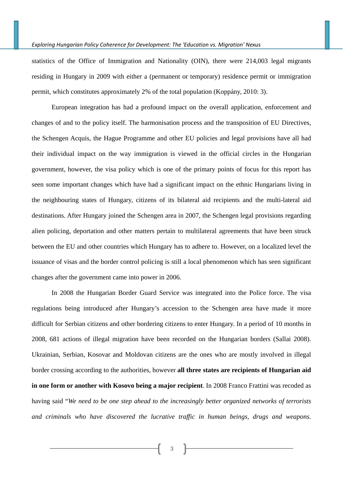statistics of the Office of Immigration and Nationality (OIN), there were 214,003 legal migrants residing in Hungary in 2009 with either a (permanent or temporary) residence permit or immigration permit, which constitutes approximately 2% of the total population (Koppány, 2010: 3).

European integration has had a profound impact on the overall application, enforcement and changes of and to the policy itself. The harmonisation process and the transposition of EU Directives, the Schengen Acquis, the Hague Programme and other EU policies and legal provisions have all had their individual impact on the way immigration is viewed in the official circles in the Hungarian government, however, the visa policy which is one of the primary points of focus for this report has seen some important changes which have had a significant impact on the ethnic Hungarians living in the neighbouring states of Hungary, citizens of its bilateral aid recipients and the multi-lateral aid destinations. After Hungary joined the Schengen area in 2007, the Schengen legal provisions regarding alien policing, deportation and other matters pertain to multilateral agreements that have been struck between the EU and other countries which Hungary has to adhere to. However, on a localized level the issuance of visas and the border control policing is still a local phenomenon which has seen significant changes after the government came into power in 2006.

In 2008 the Hungarian Border Guard Service was integrated into the Police force. The visa regulations being introduced after Hungary's accession to the Schengen area have made it more difficult for Serbian citizens and other bordering citizens to enter Hungary. In a period of 10 months in 2008, 681 actions of illegal migration have been recorded on the Hungarian borders (Sallai 2008). Ukrainian, Serbian, Kosovar and Moldovan citizens are the ones who are mostly involved in illegal border crossing according to the authorities, however **all three states are recipients of Hungarian aid in one form or another with Kosovo being a major recipient**. In 2008 Franco Frattini was recoded as having said "*We need to be one step ahead to the increasingly better organized networks of terrorists and criminals who have discovered the lucrative traffic in human beings, drugs and weapons.*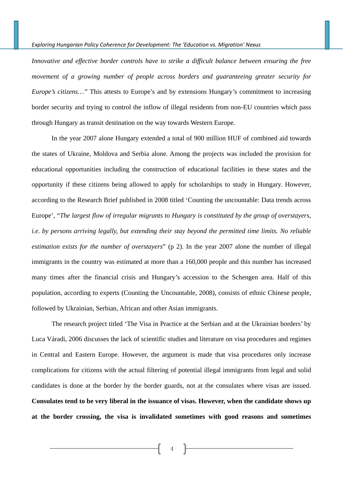*Innovative and effective border controls have to strike a difficult balance between ensuring the free movement of a growing number of people across borders and guaranteeing greater security for Europe's citizens…"* This attests to Europe's and by extensions Hungary's commitment to increasing border security and trying to control the inflow of illegal residents from non-EU countries which pass through Hungary as transit destination on the way towards Western Europe.

In the year 2007 alone Hungary extended a total of 900 million HUF of combined aid towards the states of Ukraine, Moldova and Serbia alone. Among the projects was included the provision for educational opportunities including the construction of educational facilities in these states and the opportunity if these citizens being allowed to apply for scholarships to study in Hungary. However, according to the Research Brief published in 2008 titled 'Counting the uncountable: Data trends across Europe', "*The largest flow of irregular migrants to Hungary is constituted by the group of overstayers, i.e. by persons arriving legally, but extending their stay beyond the permitted time limits. No reliable estimation exists for the number of overstayers*" (p 2). In the year 2007 alone the number of illegal immigrants in the country was estimated at more than a 160,000 people and this number has increased many times after the financial crisis and Hungary's accession to the Schengen area. Half of this population, according to experts (Counting the Uncountable, 2008), consists of ethnic Chinese people, followed by Ukrainian, Serbian, African and other Asian immigrants.

The research project titled 'The Visa in Practice at the Serbian and at the Ukrainian borders' by Luca Váradi, 2006 discusses the lack of scientific studies and literature on visa procedures and regimes in Central and Eastern Europe. However, the argument is made that visa procedures only increase complications for citizens with the actual filtering of potential illegal immigrants from legal and solid candidates is done at the border by the border guards, not at the consulates where visas are issued. **Consulates tend to be very liberal in the issuance of visas. However, when the candidate shows up at the border crossing, the visa is invalidated sometimes with good reasons and sometimes**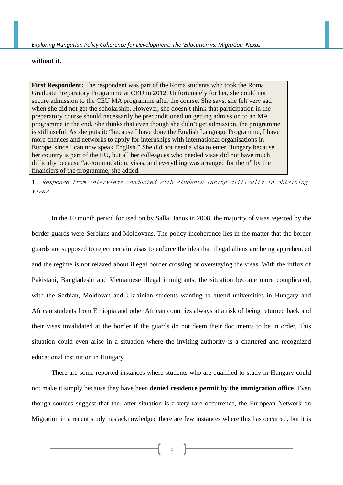# **without it.**

**First Respondent:** The respondent was part of the Roma students who took the Roma Graduate Preparatory Programme at CEU in 2012. Unfortunately for her, she could not secure admission to the CEU MA programme after the course. She says, she felt very sad when she did not get the scholarship. However, she doesn't think that participation in the preparatory course should necessarily be preconditioned on getting admission to an MA programme in the end. She thinks that even though she didn't get admission, the programme is still useful. As she puts it: "because I have done the English Language Programme, I have more chances and networks to apply for internships with international organisations in Europe, since I can now speak English." She did not need a visa to enter Hungary because her country is part of the EU, but all her colleagues who needed visas did not have much difficulty because "accommodation, visas, and everything was arranged for them" by the financiers of the programme, she added.

*1*: Response from interviews conducted with students facing difficulty in obtaining visas

In the 10 month period focused on by Sallai Janos in 2008, the majority of visas rejected by the border guards were Serbians and Moldovans. The policy incoherence lies in the matter that the border guards are supposed to reject certain visas to enforce the idea that illegal aliens are being apprehended and the regime is not relaxed about illegal border crossing or overstaying the visas. With the influx of Pakistani, Bangladeshi and Vietnamese illegal immigrants, the situation become more complicated, with the Serbian, Moldovan and Ukrainian students wanting to attend universities in Hungary and African students from Ethiopia and other African countries always at a risk of being returned back and their visas invalidated at the border if the guards do not deem their documents to be in order. This situation could even arise in a situation where the inviting authority is a chartered and recognized educational institution in Hungary.

There are some reported instances where students who are qualified to study in Hungary could not make it simply because they have been **denied residence permit by the immigration office**. Even though sources suggest that the latter situation is a very rare occurrence, the European Network on Migration in a recent study has acknowledged there are few instances where this has occurred, but it is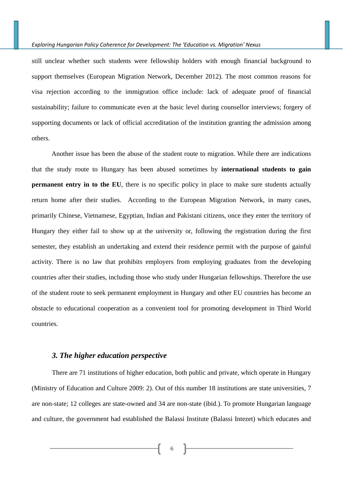still unclear whether such students were fellowship holders with enough financial background to support themselves (European Migration Network, December 2012). The most common reasons for visa rejection according to the immigration office include: lack of adequate proof of financial sustainability; failure to communicate even at the basic level during counsellor interviews; forgery of supporting documents or lack of official accreditation of the institution granting the admission among others.

Another issue has been the abuse of the student route to migration. While there are indications that the study route to Hungary has been abused sometimes by **international students to gain permanent entry in to the EU**, there is no specific policy in place to make sure students actually return home after their studies. According to the European Migration Network, in many cases, primarily Chinese, Vietnamese, Egyptian, Indian and Pakistani citizens, once they enter the territory of Hungary they either fail to show up at the university or, following the registration during the first semester, they establish an undertaking and extend their residence permit with the purpose of gainful activity. There is no law that prohibits employers from employing graduates from the developing countries after their studies, including those who study under Hungarian fellowships. Therefore the use of the student route to seek permanent employment in Hungary and other EU countries has become an obstacle to educational cooperation as a convenient tool for promoting development in Third World countries.

# *3. The higher education perspective*

There are 71 institutions of higher education, both public and private, which operate in Hungary (Ministry of Education and Culture 2009: 2). Out of this number 18 institutions are state universities, 7 are non-state; 12 colleges are state-owned and 34 are non-state (ibid.). To promote Hungarian language and culture, the government had established the Balassi Institute (Balassi Intezet) which educates and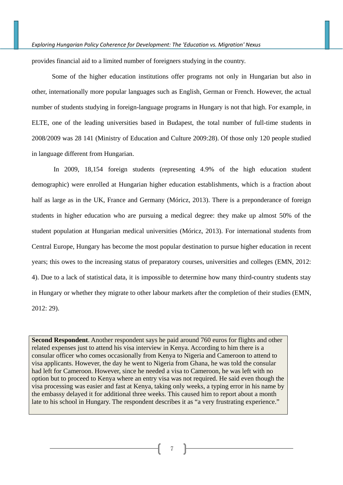provides financial aid to a limited number of foreigners studying in the country.

Some of the higher education institutions offer programs not only in Hungarian but also in other, internationally more popular languages such as English, German or French. However, the actual number of students studying in foreign-language programs in Hungary is not that high. For example, in ELTE, one of the leading universities based in Budapest, the total number of full-time students in 2008/2009 was 28 141 (Ministry of Education and Culture 2009:28). Of those only 120 people studied in language different from Hungarian.

 In 2009, 18,154 foreign students (representing 4.9% of the high education student demographic) were enrolled at Hungarian higher education establishments, which is a fraction about half as large as in the UK, France and Germany (Móricz, 2013). There is a preponderance of foreign students in higher education who are pursuing a medical degree: they make up almost 50% of the student population at Hungarian medical universities (Móricz, 2013). For international students from Central Europe, Hungary has become the most popular destination to pursue higher education in recent years; this owes to the increasing status of preparatory courses, universities and colleges (EMN, 2012: 4). Due to a lack of statistical data, it is impossible to determine how many third-country students stay in Hungary or whether they migrate to other labour markets after the completion of their studies (EMN, 2012: 29).

**Second Respondent**. Another respondent says he paid around 760 euros for flights and other related expenses just to attend his visa interview in Kenya. According to him there is a consular officer who comes occasionally from Kenya to Nigeria and Cameroon to attend to visa applicants. However, the day he went to Nigeria from Ghana, he was told the consular had left for Cameroon. However, since he needed a visa to Cameroon, he was left with no option but to proceed to Kenya where an entry visa was not required. He said even though the visa processing was easier and fast at Kenya, taking only weeks, a typing error in his name by the embassy delayed it for additional three weeks. This caused him to report about a month late to his school in Hungary. The respondent describes it as "a very frustrating experience."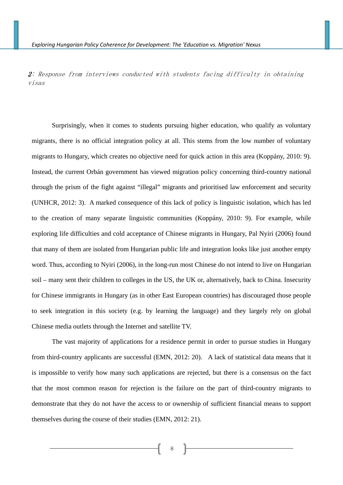2: Response from interviews conducted with students facing difficulty in obtaining visas

Surprisingly, when it comes to students pursuing higher education, who qualify as voluntary migrants, there is no official integration policy at all. This stems from the low number of voluntary migrants to Hungary, which creates no objective need for quick action in this area (Koppány, 2010: 9). Instead, the current Orbán government has viewed migration policy concerning third-country national through the prism of the fight against "illegal" migrants and prioritised law enforcement and security (UNHCR, 2012: 3). A marked consequence of this lack of policy is linguistic isolation, which has led to the creation of many separate linguistic communities (Koppány, 2010: 9). For example, while exploring life difficulties and cold acceptance of Chinese migrants in Hungary, Pal Nyiri (2006) found that many of them are isolated from Hungarian public life and integration looks like just another empty word. Thus, according to Nyiri (2006), in the long-run most Chinese do not intend to live on Hungarian soil – many sent their children to colleges in the US, the UK or, alternatively, back to China. Insecurity for Chinese immigrants in Hungary (as in other East European countries) has discouraged those people to seek integration in this society (e.g. by learning the language) and they largely rely on global Chinese media outlets through the Internet and satellite TV.

The vast majority of applications for a residence permit in order to pursue studies in Hungary from third-country applicants are successful (EMN, 2012: 20). A lack of statistical data means that it is impossible to verify how many such applications are rejected, but there is a consensus on the fact that the most common reason for rejection is the failure on the part of third-country migrants to demonstrate that they do not have the access to or ownership of sufficient financial means to support themselves during the course of their studies (EMN, 2012: 21).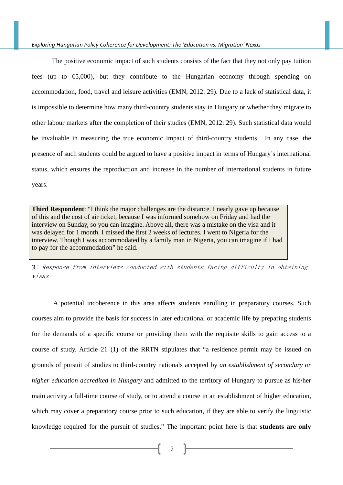The positive economic impact of such students consists of the fact that they not only pay tuition fees (up to  $\epsilon$ ,000), but they contribute to the Hungarian economy through spending on accommodation, food, travel and leisure activities (EMN, 2012: 29). Due to a lack of statistical data, it is impossible to determine how many third-country students stay in Hungary or whether they migrate to other labour markets after the completion of their studies (EMN, 2012: 29). Such statistical data would be invaluable in measuring the true economic impact of third-country students. In any case, the presence of such students could be argued to have a positive impact in terms of Hungary's international status, which ensures the reproduction and increase in the number of international students in future years.

**Third Respondent**: "I think the major challenges are the distance. I nearly gave up because of this and the cost of air ticket, because I was informed somehow on Friday and had the interview on Sunday, so you can imagine. Above all, there was a mistake on the visa and it was delayed for 1 month. I missed the first 2 weeks of lectures. I went to Nigeria for the interview. Though I was accommodated by a family man in Nigeria, you can imagine if I had to pay for the accommodation" he said.

*3*: Response from interviews conducted with students facing difficulty in obtaining visas

 A potential incoherence in this area affects students enrolling in preparatory courses. Such courses aim to provide the basis for success in later educational or academic life by preparing students for the demands of a specific course or providing them with the requisite skills to gain access to a course of study. Article 21 (1) of the RRTN stipulates that "a residence permit may be issued on grounds of pursuit of studies to third-country nationals accepted by *an establishment of secondary or higher education accredited in Hungary* and admitted to the territory of Hungary to pursue as his/her main activity a full-time course of study, or to attend a course in an establishment of higher education, which may cover a preparatory course prior to such education, if they are able to verify the linguistic knowledge required for the pursuit of studies." The important point here is that **students are only**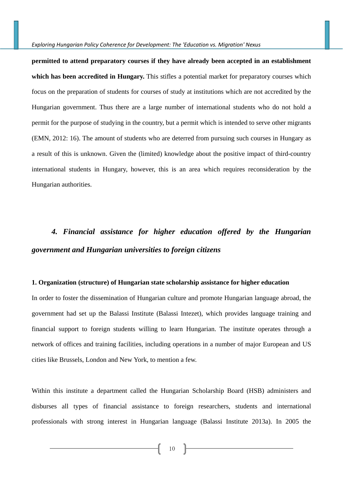**permitted to attend preparatory courses if they have already been accepted in an establishment which has been accredited in Hungary.** This stifles a potential market for preparatory courses which focus on the preparation of students for courses of study at institutions which are not accredited by the Hungarian government. Thus there are a large number of international students who do not hold a permit for the purpose of studying in the country, but a permit which is intended to serve other migrants (EMN, 2012: 16). The amount of students who are deterred from pursuing such courses in Hungary as a result of this is unknown. Given the (limited) knowledge about the positive impact of third-country international students in Hungary, however, this is an area which requires reconsideration by the Hungarian authorities.

# *4. Financial assistance for higher education offered by the Hungarian government and Hungarian universities to foreign citizens*

#### **1. Organization (structure) of Hungarian state scholarship assistance for higher education**

In order to foster the dissemination of Hungarian culture and promote Hungarian language abroad, the government had set up the Balassi Institute (Balassi Intezet), which provides language training and financial support to foreign students willing to learn Hungarian. The institute operates through a network of offices and training facilities, including operations in a number of major European and US cities like Brussels, London and New York, to mention a few.

Within this institute a department called the Hungarian Scholarship Board (HSB) administers and disburses all types of financial assistance to foreign researchers, students and international professionals with strong interest in Hungarian language (Balassi Institute 2013a). In 2005 the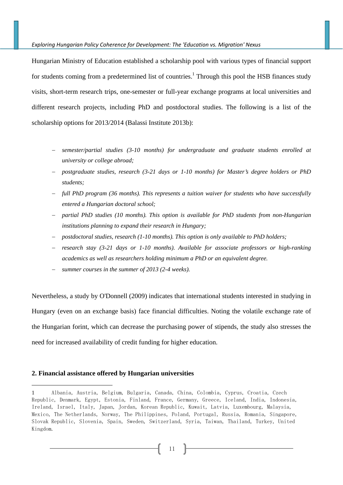Hungarian Ministry of Education established a scholarship pool with various types of financial support for students coming from a predetermined list of countries.<sup>1</sup> Through this pool the HSB finances study visits, short-term research trips, one-semester or full-year exchange programs at local universities and different research projects, including PhD and postdoctoral studies. The following is a list of the scholarship options for 2013/2014 (Balassi Institute 2013b):

- *semester/partial studies (3-10 months) for undergraduate and graduate students enrolled at university or college abroad;*
- *postgraduate studies, research (3-21 days or 1-10 months) for Master's degree holders or PhD students;*
- *full PhD program (36 months). This represents a tuition waiver for students who have successfully entered a Hungarian doctoral school;*
- *partial PhD studies (10 months). This option is available for PhD students from non-Hungarian institutions planning to expand their research in Hungary;*
- *postdoctoral studies, research (1-10 months). This option is only available to PhD holders;*
- *research stay (3-21 days or 1-10 months). Available for associate professors or high-ranking academics as well as researchers holding minimum a PhD or an equivalent degree.*
- *summer courses in the summer of 2013 (2-4 weeks).*

Nevertheless, a study by O'Donnell (2009) indicates that international students interested in studying in Hungary (even on an exchange basis) face financial difficulties. Noting the volatile exchange rate of the Hungarian forint, which can decrease the purchasing power of stipends, the study also stresses the need for increased availability of credit funding for higher education.

#### **2. Financial assistance offered by Hungarian universities**

-

<sup>1</sup> Albania, Austria, Belgium, Bulgaria, Canada, China, Colombia, Cyprus, Croatia, Czech Republic, Denmark, Egypt, Estonia, Finland, France, Germany, Greece, Iceland, India, Indonesia, Ireland, Israel, Italy, Japan, Jordan, Korean Republic, Kuwait, Latvia, Luxembourg, Malaysia, Mexico, The Netherlands, Norway, The Philippines, Poland, Portugal, Russia, Romania, Singapore, Slovak Republic, Slovenia, Spain, Sweden, Switzerland, Syria, Taiwan, Thailand, Turkey, United Kingdom.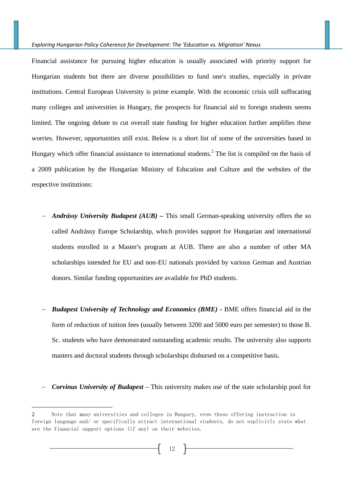Financial assistance for pursuing higher education is usually associated with priority support for Hungarian students but there are diverse possibilities to fund one's studies, especially in private institutions. Central European University is prime example. With the economic crisis still suffocating many colleges and universities in Hungary, the prospects for financial aid to foreign students seems limited. The ongoing debate to cut overall state funding for higher education further amplifies these worries. However, opportunities still exist. Below is a short list of some of the universities based in Hungary which offer financial assistance to international students. $<sup>2</sup>$  The list is compiled on the basis of</sup> a 2009 publication by the Hungarian Ministry of Education and Culture and the websites of the respective institutions:

- *Andrássy University Budapest (AUB)* This small German-speaking university offers the so called Andrássy Europe Scholarship, which provides support for Hungarian and international students enrolled in a Master's program at AUB. There are also a number of other MA scholarships intended for EU and non-EU nationals provided by various German and Austrian donors. Similar funding opportunities are available for PhD students.
- *Budapest University of Technology and Economics (BME)* **BME** offers financial aid in the form of reduction of tuition fees (usually between 3200 and 5000 euro per semester) to those B. Sc. students who have demonstrated outstanding academic results. The university also supports masters and doctoral students through scholarships disbursed on a competitive basis.
- *Corvinus University of Budapest* This university makes use of the state scholarship pool for

 $\overline{a}$ 

<sup>2</sup> Note that many universities and colleges in Hungary, even those offering instruction in foreign language and/ or specifically attract international students, do not explicitly state what are the financial support options (if any) on their websites.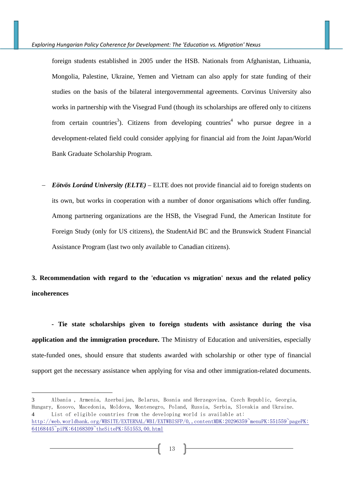foreign students established in 2005 under the HSB. Nationals from Afghanistan, Lithuania, Mongolia, Palestine, Ukraine, Yemen and Vietnam can also apply for state funding of their studies on the basis of the bilateral intergovernmental agreements. Corvinus University also works in partnership with the Visegrad Fund (though its scholarships are offered only to citizens from certain countries<sup>3</sup>). Citizens from developing countries<sup>4</sup> who pursue degree in a development-related field could consider applying for financial aid from the Joint Japan/World Bank Graduate Scholarship Program.

 *Eötvös Loránd University (ELTE)* – ELTE does not provide financial aid to foreign students on its own, but works in cooperation with a number of donor organisations which offer funding. Among partnering organizations are the HSB, the Visegrad Fund, the American Institute for Foreign Study (only for US citizens), the StudentAid BC and the Brunswick Student Financial Assistance Program (last two only available to Canadian citizens).

**3. Recommendation with regard to the 'education vs migration' nexus and the related policy incoherences** 

 **- Tie state scholarships given to foreign students with assistance during the visa application and the immigration procedure.** The Ministry of Education and universities, especially state-funded ones, should ensure that students awarded with scholarship or other type of financial support get the necessary assistance when applying for visa and other immigration-related documents.

-

<sup>3</sup> Albania , Armenia, Azerbaijan, Belarus, Bosnia and Herzegovina, Czech Republic, Georgia, Hungary, Kosovo, Macedonia, Moldova, Montenegro, Poland, Russia, Serbia, Slovakia and Ukraine. 4 List of eligible countries from the developing world is available at: http://web.worldbank.org/WBSITE/EXTERNAL/WBI/EXTWBISFP/0,,contentMDK:20296359~menuPK:551559~pagePK: 64168445~piPK:64168309~theSitePK:551553,00.html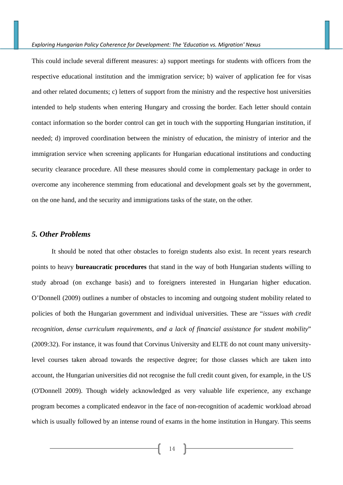This could include several different measures: a) support meetings for students with officers from the respective educational institution and the immigration service; b) waiver of application fee for visas and other related documents; c) letters of support from the ministry and the respective host universities intended to help students when entering Hungary and crossing the border. Each letter should contain contact information so the border control can get in touch with the supporting Hungarian institution, if needed; d) improved coordination between the ministry of education, the ministry of interior and the immigration service when screening applicants for Hungarian educational institutions and conducting security clearance procedure. All these measures should come in complementary package in order to overcome any incoherence stemming from educational and development goals set by the government, on the one hand, and the security and immigrations tasks of the state, on the other.

### *5. Other Problems*

It should be noted that other obstacles to foreign students also exist. In recent years research points to heavy **bureaucratic procedures** that stand in the way of both Hungarian students willing to study abroad (on exchange basis) and to foreigners interested in Hungarian higher education. O'Donnell (2009) outlines a number of obstacles to incoming and outgoing student mobility related to policies of both the Hungarian government and individual universities. These are "*issues with credit recognition, dense curriculum requirements, and a lack of financial assistance for student mobility*" (2009:32). For instance, it was found that Corvinus University and ELTE do not count many universitylevel courses taken abroad towards the respective degree; for those classes which are taken into account, the Hungarian universities did not recognise the full credit count given, for example, in the US (O'Donnell 2009). Though widely acknowledged as very valuable life experience, any exchange program becomes a complicated endeavor in the face of non-recognition of academic workload abroad which is usually followed by an intense round of exams in the home institution in Hungary. This seems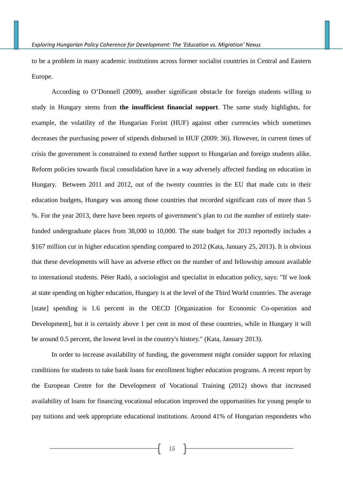to be a problem in many academic institutions across former socialist countries in Central and Eastern Europe.

According to O'Donnell (2009), another significant obstacle for foreign students willing to study in Hungary stems from **the insufficient financial support**. The same study highlights, for example, the volatility of the Hungarian Forint (HUF) against other currencies which sometimes decreases the purchasing power of stipends disbursed in HUF (2009: 36). However, in current times of crisis the government is constrained to extend further support to Hungarian and foreign students alike. Reform policies towards fiscal consolidation have in a way adversely affected funding on education in Hungary. Between 2011 and 2012, out of the twenty countries in the EU that made cuts in their education budgets, Hungary was among those countries that recorded significant cuts of more than 5 %. For the year 2013, there have been reports of government's plan to cut the number of entirely statefunded undergraduate places from 38,000 to 10,000. The state budget for 2013 reportedly includes a \$167 million cut in higher education spending compared to 2012 (Kata, January 25, 2013). It is obvious that these developments will have an adverse effect on the number of and fellowship amount available to international students. Péter Radó, a sociologist and specialist in education policy, says: "If we look at state spending on higher education, Hungary is at the level of the Third World countries. The average [state] spending is 1.6 percent in the OECD [Organization for Economic Co-operation and Development], but it is certainly above 1 per cent in most of these countries, while in Hungary it will be around 0.5 percent, the lowest level in the country's history." (Kata, January 2013).

In order to increase availability of funding, the government might consider support for relaxing conditions for students to take bank loans for enrollment higher education programs. A recent report by the European Centre for the Development of Vocational Training (2012) shows that increased availability of loans for financing vocational education improved the opportunities for young people to pay tuitions and seek appropriate educational institutions. Around 41% of Hungarian respondents who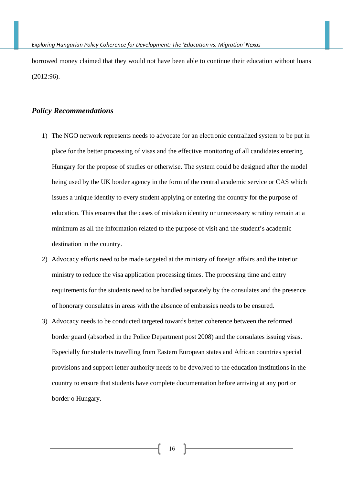borrowed money claimed that they would not have been able to continue their education without loans (2012:96).

# *Policy Recommendations*

- 1) The NGO network represents needs to advocate for an electronic centralized system to be put in place for the better processing of visas and the effective monitoring of all candidates entering Hungary for the propose of studies or otherwise. The system could be designed after the model being used by the UK border agency in the form of the central academic service or CAS which issues a unique identity to every student applying or entering the country for the purpose of education. This ensures that the cases of mistaken identity or unnecessary scrutiny remain at a minimum as all the information related to the purpose of visit and the student's academic destination in the country.
- 2) Advocacy efforts need to be made targeted at the ministry of foreign affairs and the interior ministry to reduce the visa application processing times. The processing time and entry requirements for the students need to be handled separately by the consulates and the presence of honorary consulates in areas with the absence of embassies needs to be ensured.
- 3) Advocacy needs to be conducted targeted towards better coherence between the reformed border guard (absorbed in the Police Department post 2008) and the consulates issuing visas. Especially for students travelling from Eastern European states and African countries special provisions and support letter authority needs to be devolved to the education institutions in the country to ensure that students have complete documentation before arriving at any port or border o Hungary.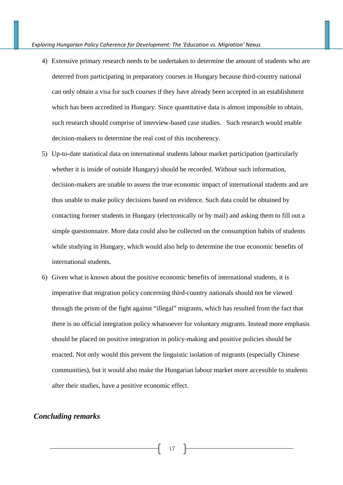- 4) Extensive primary research needs to be undertaken to determine the amount of students who are deterred from participating in preparatory courses in Hungary because third-country national can only obtain a visa for such courses if they have already been accepted in an establishment which has been accredited in Hungary. Since quantitative data is almost impossible to obtain, such research should comprise of interview-based case studies. Such research would enable decision-makers to determine the real cost of this incoherency.
- 5) Up-to-date statistical data on international students labour market participation (particularly whether it is inside of outside Hungary) should be recorded. Without such information, decision-makers are unable to assess the true economic impact of international students and are thus unable to make policy decisions based on evidence. Such data could be obtained by contacting former students in Hungary (electronically or by mail) and asking them to fill out a simple questionnaire. More data could also be collected on the consumption habits of students while studying in Hungary, which would also help to determine the true economic benefits of international students.
- 6) Given what is known about the positive economic benefits of international students, it is imperative that migration policy concerning third-country nationals should not be viewed through the prism of the fight against "illegal" migrants, which has resulted from the fact that there is no official integration policy whatsoever for voluntary migrants. Instead more emphasis should be placed on positive integration in policy-making and positive policies should be enacted. Not only would this prevent the linguistic isolation of migrants (especially Chinese communities), but it would also make the Hungarian labour market more accessible to students after their studies, have a positive economic effect.

# *Concluding remarks*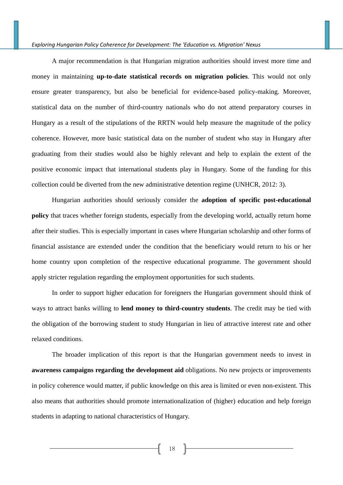A major recommendation is that Hungarian migration authorities should invest more time and money in maintaining **up-to-date statistical records on migration policies**. This would not only ensure greater transparency, but also be beneficial for evidence-based policy-making. Moreover, statistical data on the number of third-country nationals who do not attend preparatory courses in Hungary as a result of the stipulations of the RRTN would help measure the magnitude of the policy coherence. However, more basic statistical data on the number of student who stay in Hungary after graduating from their studies would also be highly relevant and help to explain the extent of the positive economic impact that international students play in Hungary. Some of the funding for this collection could be diverted from the new administrative detention regime (UNHCR, 2012: 3).

Hungarian authorities should seriously consider the **adoption of specific post-educational policy** that traces whether foreign students, especially from the developing world, actually return home after their studies. This is especially important in cases where Hungarian scholarship and other forms of financial assistance are extended under the condition that the beneficiary would return to his or her home country upon completion of the respective educational programme. The government should apply stricter regulation regarding the employment opportunities for such students.

In order to support higher education for foreigners the Hungarian government should think of ways to attract banks willing to **lend money to third-country students**. The credit may be tied with the obligation of the borrowing student to study Hungarian in lieu of attractive interest rate and other relaxed conditions.

The broader implication of this report is that the Hungarian government needs to invest in **awareness campaigns regarding the development aid** obligations. No new projects or improvements in policy coherence would matter, if public knowledge on this area is limited or even non-existent. This also means that authorities should promote internationalization of (higher) education and help foreign students in adapting to national characteristics of Hungary.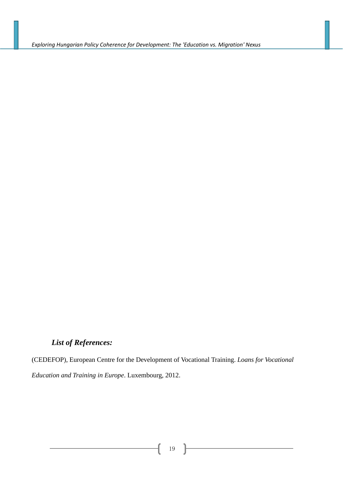# *List of References:*

(CEDEFOP), European Centre for the Development of Vocational Training. *Loans for Vocational Education and Training in Europe*. Luxembourg, 2012.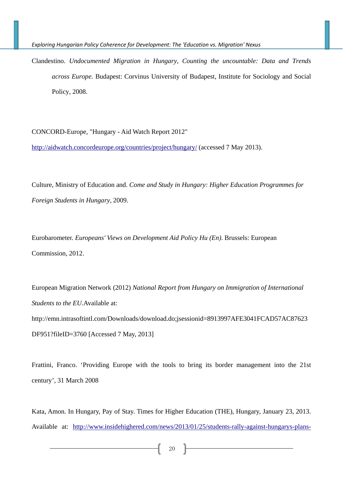Clandestino. *Undocumented Migration in Hungary, Counting the uncountable: Data and Trends across Europe.* Budapest: Corvinus University of Budapest, Institute for Sociology and Social Policy, 2008.

CONCORD-Europe, "Hungary - Aid Watch Report 2012"

http://aidwatch.concordeurope.org/countries/project/hungary/ (accessed 7 May 2013).

Culture, Ministry of Education and. *Come and Study in Hungary: Higher Education Programmes for Foreign Students in Hungary*, 2009.

Eurobarometer. *Europeans' Views on Development Aid Policy Hu (En)*. Brussels: European Commission, 2012.

European Migration Network (2012) *National Report from Hungary on Immigration of International Students to the EU*.Available at: http://emn.intrasoftintl.com/Downloads/download.do;jsessionid=8913997AFE3041FCAD57AC87623 DF951?fileID=3760 [Accessed 7 May, 2013]

Frattini, Franco. 'Providing Europe with the tools to bring its border management into the 21st century', 31 March 2008

Kata, Amon. In Hungary, Pay of Stay. Times for Higher Education (THE), Hungary, January 23, 2013. Available at: http://www.insidehighered.com/news/2013/01/25/students-rally-against-hungarys-plans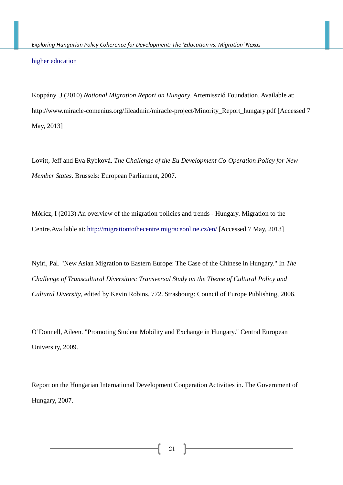higher education

Koppány ,J (2010) *National Migration Report on Hungary*. Artemisszió Foundation. Available at: http://www.miracle-comenius.org/fileadmin/miracle-project/Minority\_Report\_hungary.pdf [Accessed 7 May, 2013]

Lovitt, Jeff and Eva Rybková. *The Challenge of the Eu Development Co-Operation Policy for New Member States*. Brussels: European Parliament, 2007.

Móricz, I (2013) An overview of the migration policies and trends - Hungary. Migration to the Centre.Available at: http://migrationtothecentre.migraceonline.cz/en/ [Accessed 7 May, 2013]

Nyiri, Pal. "New Asian Migration to Eastern Europe: The Case of the Chinese in Hungary." In *The Challenge of Transcultural Diversities: Transversal Study on the Theme of Cultural Policy and Cultural Diversity*, edited by Kevin Robins, 772. Strasbourg: Council of Europe Publishing, 2006.

O'Donnell, Aileen. "Promoting Student Mobility and Exchange in Hungary." Central European University, 2009.

Report on the Hungarian International Development Cooperation Activities in. The Government of Hungary, 2007.